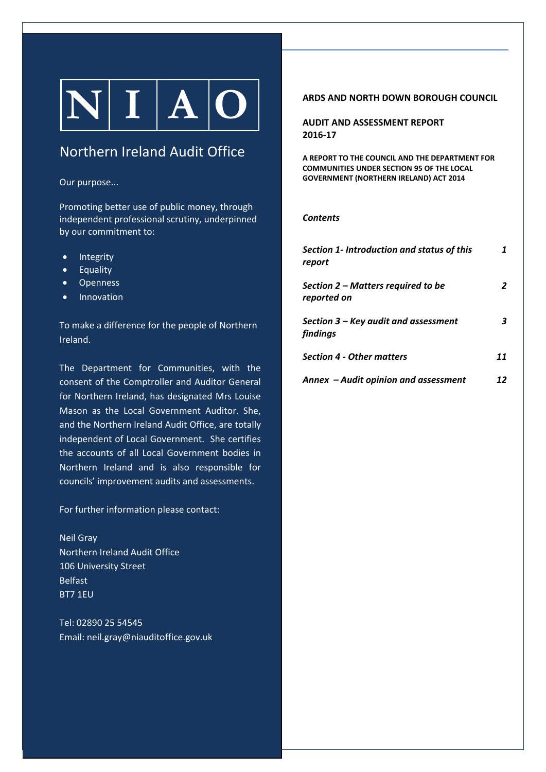# $|N| I |A| O |$

# Northern Ireland Audit Office

#### Our purpose...

Promoting better use of public money, through independent professional scrutiny, underpinned by our commitment to:

- Integrity
- Equality
- Openness
- Innovation

To make a difference for the people of Northern Ireland.

The Department for Communities, with the consent of the Comptroller and Auditor General for Northern Ireland, has designated Mrs Louise Mason as the Local Government Auditor. She, and the Northern Ireland Audit Office, are totally independent of Local Government. She certifies the accounts of all Local Government bodies in Northern Ireland and is also responsible for councils' improvement audits and assessments.

For further information please contact:

Neil Gray Northern Ireland Audit Office 106 University Street Belfast BT7 1EU

Tel: 02890 25 54545 Email: neil.gray@niauditoffice.gov.uk

#### **ARDS AND NORTH DOWN BOROUGH COUNCIL**

**AUDIT AND ASSESSMENT REPORT 2016‐17**

**A REPORT TO THE COUNCIL AND THE DEPARTMENT FOR COMMUNITIES UNDER SECTION 95 OF THE LOCAL GOVERNMENT (NORTHERN IRELAND) ACT 2014**

#### *Contents*

| Section 1- Introduction and status of this<br>report |    |
|------------------------------------------------------|----|
| Section 2 – Matters required to be<br>reported on    | 2  |
| Section 3 - Key audit and assessment<br>findings     | 3  |
| <b>Section 4 - Other matters</b>                     | 11 |
| Annex - Audit opinion and assessment                 | 12 |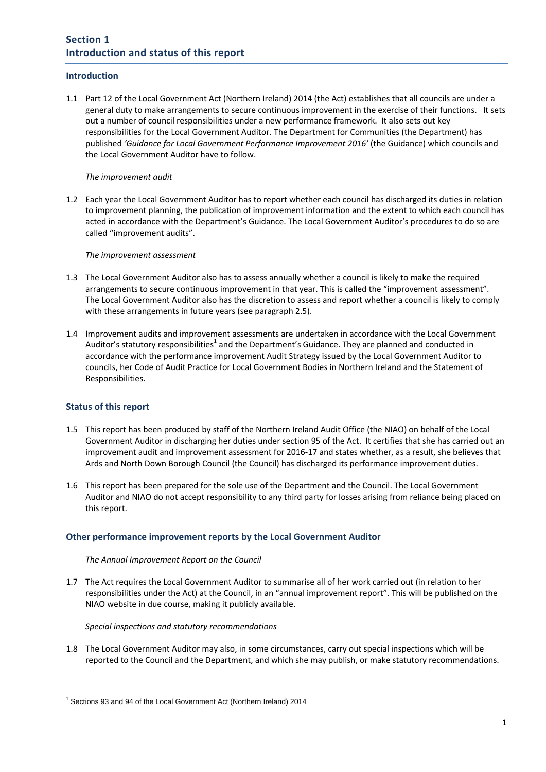#### **Introduction**

1.1 Part 12 of the Local Government Act (Northern Ireland) 2014 (the Act) establishes that all councils are under a general duty to make arrangements to secure continuous improvement in the exercise of their functions. It sets out a number of council responsibilities under a new performance framework. It also sets out key responsibilities for the Local Government Auditor. The Department for Communities (the Department) has published *'Guidance for Local Government Performance Improvement 2016'* (the Guidance) which councils and the Local Government Auditor have to follow.

#### *The improvement audit*

1.2 Each year the Local Government Auditor has to report whether each council has discharged its duties in relation to improvement planning, the publication of improvement information and the extent to which each council has acted in accordance with the Department's Guidance. The Local Government Auditor's procedures to do so are called "improvement audits".

#### *The improvement assessment*

- 1.3 The Local Government Auditor also has to assess annually whether a council is likely to make the required arrangements to secure continuous improvement in that year. This is called the "improvement assessment". The Local Government Auditor also has the discretion to assess and report whether a council is likely to comply with these arrangements in future years (see paragraph 2.5).
- 1.4 Improvement audits and improvement assessments are undertaken in accordance with the Local Government Auditor's statutory responsibilities<sup>1</sup> and the Department's Guidance. They are planned and conducted in accordance with the performance improvement Audit Strategy issued by the Local Government Auditor to councils, her Code of Audit Practice for Local Government Bodies in Northern Ireland and the Statement of Responsibilities.

#### **Status of this report**

- 1.5 This report has been produced by staff of the Northern Ireland Audit Office (the NIAO) on behalf of the Local Government Auditor in discharging her duties under section 95 of the Act. It certifies that she has carried out an improvement audit and improvement assessment for 2016‐17 and states whether, as a result, she believes that Ards and North Down Borough Council (the Council) has discharged its performance improvement duties.
- 1.6 This report has been prepared for the sole use of the Department and the Council. The Local Government Auditor and NIAO do not accept responsibility to any third party for losses arising from reliance being placed on this report.

#### **Other performance improvement reports by the Local Government Auditor**

#### *The Annual Improvement Report on the Council*

1.7 The Act requires the Local Government Auditor to summarise all of her work carried out (in relation to her responsibilities under the Act) at the Council, in an "annual improvement report". This will be published on the NIAO website in due course, making it publicly available.

#### *Special inspections and statutory recommendations*

1.8 The Local Government Auditor may also, in some circumstances, carry out special inspections which will be reported to the Council and the Department, and which she may publish, or make statutory recommendations.

<sup>-</sup><sup>1</sup> Sections 93 and 94 of the Local Government Act (Northern Ireland) 2014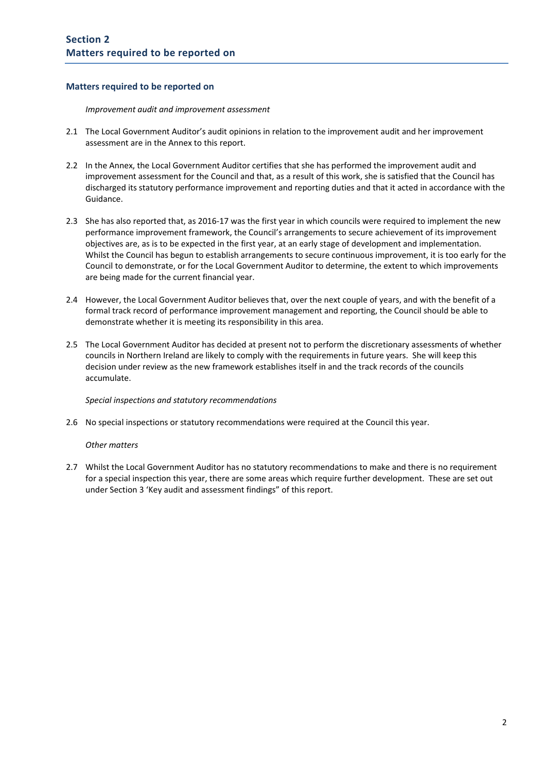#### **Matters required to be reported on**

*Improvement audit and improvement assessment* 

- 2.1 The Local Government Auditor's audit opinions in relation to the improvement audit and her improvement assessment are in the Annex to this report.
- 2.2 In the Annex, the Local Government Auditor certifies that she has performed the improvement audit and improvement assessment for the Council and that, as a result of this work, she is satisfied that the Council has discharged its statutory performance improvement and reporting duties and that it acted in accordance with the Guidance.
- 2.3 She has also reported that, as 2016‐17 was the first year in which councils were required to implement the new performance improvement framework, the Council's arrangements to secure achievement of its improvement objectives are, as is to be expected in the first year, at an early stage of development and implementation. Whilst the Council has begun to establish arrangements to secure continuous improvement, it is too early for the Council to demonstrate, or for the Local Government Auditor to determine, the extent to which improvements are being made for the current financial year.
- 2.4 However, the Local Government Auditor believes that, over the next couple of years, and with the benefit of a formal track record of performance improvement management and reporting, the Council should be able to demonstrate whether it is meeting its responsibility in this area.
- 2.5 The Local Government Auditor has decided at present not to perform the discretionary assessments of whether councils in Northern Ireland are likely to comply with the requirements in future years. She will keep this decision under review as the new framework establishes itself in and the track records of the councils accumulate.

*Special inspections and statutory recommendations*

2.6 No special inspections or statutory recommendations were required at the Council this year.

#### *Other matters*

2.7 Whilst the Local Government Auditor has no statutory recommendations to make and there is no requirement for a special inspection this year, there are some areas which require further development. These are set out under Section 3 'Key audit and assessment findings" of this report.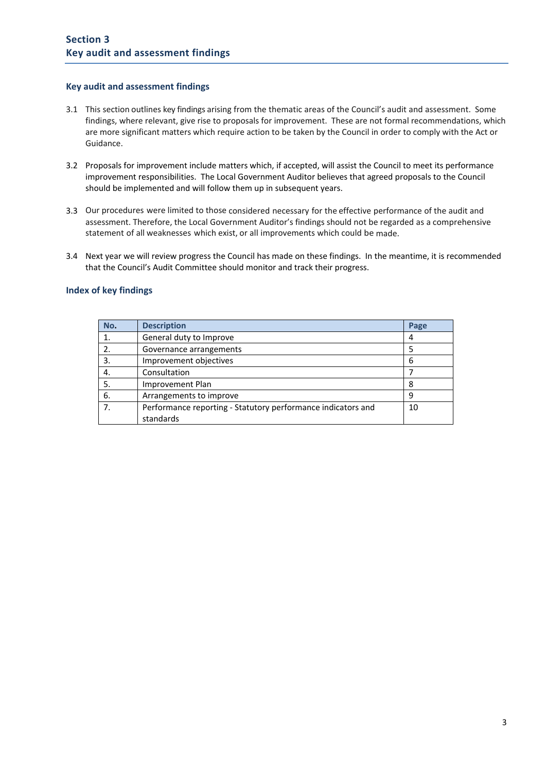#### **Key audit and assessment findings**

- 3.1 This section outlines key findings arising from the thematic areas of the Council's audit and assessment. Some findings, where relevant, give rise to proposals for improvement. These are not formal recommendations, which are more significant matters which require action to be taken by the Council in order to comply with the Act or Guidance.
- 3.2 Proposals for improvement include matters which, if accepted, will assist the Council to meet its performance improvement responsibilities. The Local Government Auditor believes that agreed proposals to the Council should be implemented and will follow them up in subsequent years.
- 3.3 Our procedures were limited to those considered necessary for the effective performance of the audit and assessment. Therefore, the Local Government Auditor's findings should not be regarded as a comprehensive statement of all weaknesses which exist, or all improvements which could be made.
- 3.4 Next year we will review progress the Council has made on these findings. In the meantime, it is recommended that the Council's Audit Committee should monitor and track their progress.

#### **Index of key findings**

| No. | <b>Description</b>                                           | Page |
|-----|--------------------------------------------------------------|------|
|     | General duty to Improve                                      |      |
| 2.  | Governance arrangements                                      |      |
| 3.  | Improvement objectives                                       | 6    |
| 4.  | Consultation                                                 |      |
| 5.  | Improvement Plan                                             | 8    |
| 6.  | Arrangements to improve                                      | 9    |
|     | Performance reporting - Statutory performance indicators and | 10   |
|     | standards                                                    |      |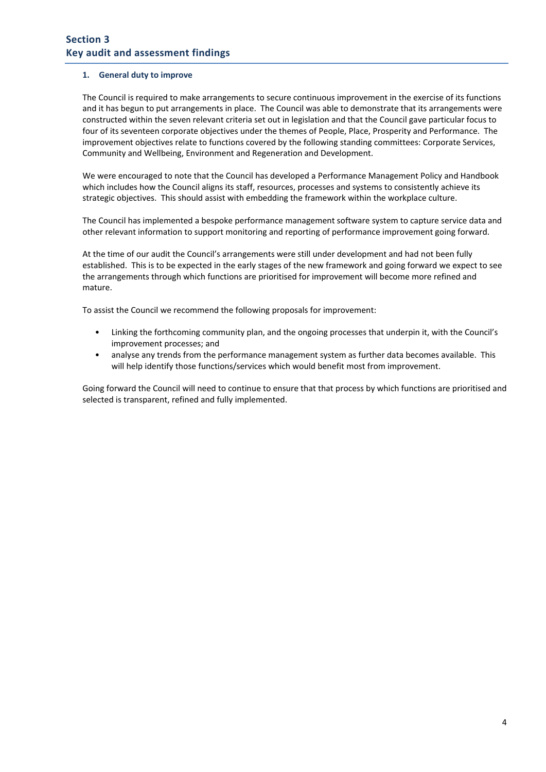#### **1. General duty to improve**

The Council is required to make arrangements to secure continuous improvement in the exercise of its functions and it has begun to put arrangements in place. The Council was able to demonstrate that its arrangements were constructed within the seven relevant criteria set out in legislation and that the Council gave particular focus to four of its seventeen corporate objectives under the themes of People, Place, Prosperity and Performance. The improvement objectives relate to functions covered by the following standing committees: Corporate Services, Community and Wellbeing, Environment and Regeneration and Development.

We were encouraged to note that the Council has developed a Performance Management Policy and Handbook which includes how the Council aligns its staff, resources, processes and systems to consistently achieve its strategic objectives. This should assist with embedding the framework within the workplace culture.

The Council has implemented a bespoke performance management software system to capture service data and other relevant information to support monitoring and reporting of performance improvement going forward.

At the time of our audit the Council's arrangements were still under development and had not been fully established. This is to be expected in the early stages of the new framework and going forward we expect to see the arrangements through which functions are prioritised for improvement will become more refined and mature.

To assist the Council we recommend the following proposals for improvement:

- Linking the forthcoming community plan, and the ongoing processes that underpin it, with the Council's improvement processes; and
- analyse any trends from the performance management system as further data becomes available. This will help identify those functions/services which would benefit most from improvement.

Going forward the Council will need to continue to ensure that that process by which functions are prioritised and selected is transparent, refined and fully implemented.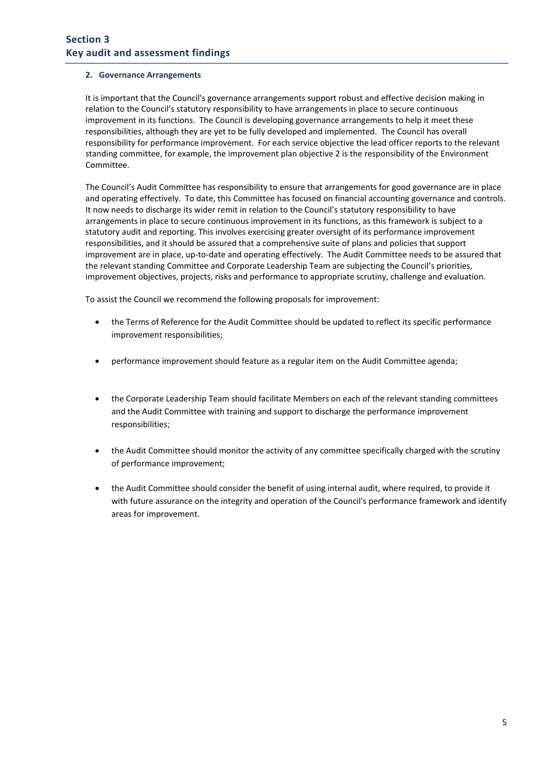#### **2. Governance Arrangements**

It is important that the Council's governance arrangements support robust and effective decision making in relation to the Council's statutory responsibility to have arrangements in place to secure continuous improvement in its functions. The Council is developing governance arrangements to help it meet these responsibilities, although they are yet to be fully developed and implemented. The Council has overall responsibility for performance improvement. For each service objective the lead officer reports to the relevant standing committee, for example, the improvement plan objective 2 is the responsibility of the Environment Committee.

The Council's Audit Committee has responsibility to ensure that arrangements for good governance are in place and operating effectively. To date, this Committee has focused on financial accounting governance and controls. It now needs to discharge its wider remit in relation to the Council's statutory responsibility to have arrangements in place to secure continuous improvement in its functions, as this framework is subject to a statutory audit and reporting. This involves exercising greater oversight of its performance improvement responsibilities, and it should be assured that a comprehensive suite of plans and policies that support improvement are in place, up‐to‐date and operating effectively. The Audit Committee needs to be assured that the relevant standing Committee and Corporate Leadership Team are subjecting the Council's priorities, improvement objectives, projects, risks and performance to appropriate scrutiny, challenge and evaluation.

To assist the Council we recommend the following proposals for improvement:

- the Terms of Reference for the Audit Committee should be updated to reflect its specific performance improvement responsibilities;
- performance improvement should feature as a regular item on the Audit Committee agenda;
- the Corporate Leadership Team should facilitate Members on each of the relevant standing committees and the Audit Committee with training and support to discharge the performance improvement responsibilities;
- the Audit Committee should monitor the activity of any committee specifically charged with the scrutiny of performance improvement;
- the Audit Committee should consider the benefit of using internal audit, where required, to provide it with future assurance on the integrity and operation of the Council's performance framework and identify areas for improvement.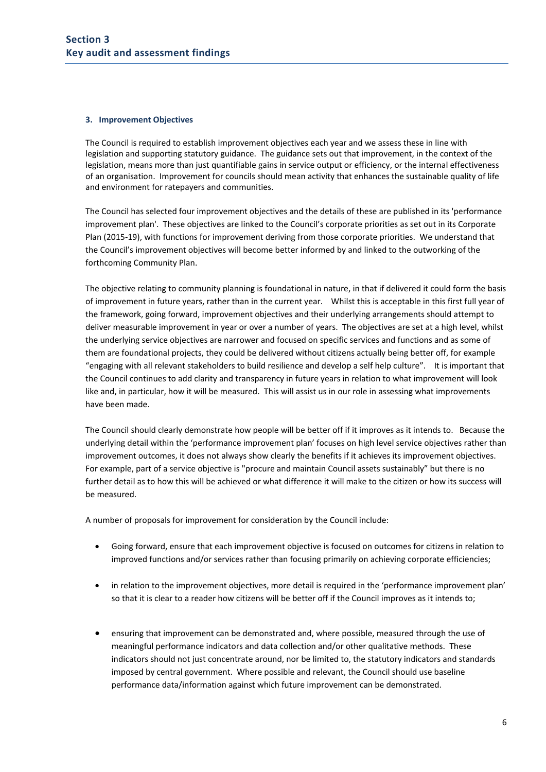#### **3. Improvement Objectives**

The Council is required to establish improvement objectives each year and we assess these in line with legislation and supporting statutory guidance. The guidance sets out that improvement, in the context of the legislation, means more than just quantifiable gains in service output or efficiency, or the internal effectiveness of an organisation. Improvement for councils should mean activity that enhances the sustainable quality of life and environment for ratepayers and communities.

The Council has selected four improvement objectives and the details of these are published in its 'performance improvement plan'. These objectives are linked to the Council's corporate priorities as set out in its Corporate Plan (2015‐19), with functions for improvement deriving from those corporate priorities. We understand that the Council's improvement objectives will become better informed by and linked to the outworking of the forthcoming Community Plan.

The objective relating to community planning is foundational in nature, in that if delivered it could form the basis of improvement in future years, rather than in the current year. Whilst this is acceptable in this first full year of the framework, going forward, improvement objectives and their underlying arrangements should attempt to deliver measurable improvement in year or over a number of years. The objectives are set at a high level, whilst the underlying service objectives are narrower and focused on specific services and functions and as some of them are foundational projects, they could be delivered without citizens actually being better off, for example "engaging with all relevant stakeholders to build resilience and develop a self help culture". It is important that the Council continues to add clarity and transparency in future years in relation to what improvement will look like and, in particular, how it will be measured. This will assist us in our role in assessing what improvements have been made.

The Council should clearly demonstrate how people will be better off if it improves as it intends to. Because the underlying detail within the 'performance improvement plan' focuses on high level service objectives rather than improvement outcomes, it does not always show clearly the benefits if it achieves its improvement objectives. For example, part of a service objective is "procure and maintain Council assets sustainably" but there is no further detail as to how this will be achieved or what difference it will make to the citizen or how its success will be measured.

A number of proposals for improvement for consideration by the Council include:

- Going forward, ensure that each improvement objective is focused on outcomes for citizens in relation to improved functions and/or services rather than focusing primarily on achieving corporate efficiencies;
- in relation to the improvement objectives, more detail is required in the 'performance improvement plan' so that it is clear to a reader how citizens will be better off if the Council improves as it intends to;
- ensuring that improvement can be demonstrated and, where possible, measured through the use of meaningful performance indicators and data collection and/or other qualitative methods. These indicators should not just concentrate around, nor be limited to, the statutory indicators and standards imposed by central government. Where possible and relevant, the Council should use baseline performance data/information against which future improvement can be demonstrated.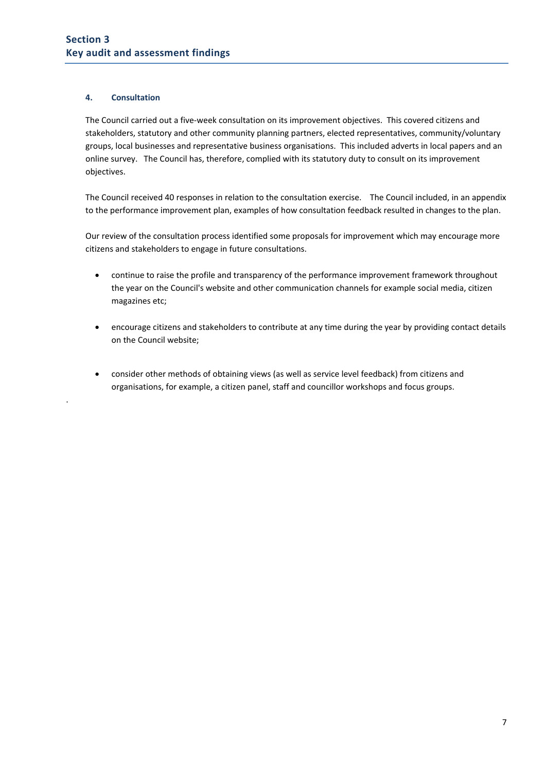#### **4. Consultation**

.

The Council carried out a five‐week consultation on its improvement objectives. This covered citizens and stakeholders, statutory and other community planning partners, elected representatives, community/voluntary groups, local businesses and representative business organisations. This included adverts in local papers and an online survey. The Council has, therefore, complied with its statutory duty to consult on its improvement objectives.

The Council received 40 responses in relation to the consultation exercise. The Council included, in an appendix to the performance improvement plan, examples of how consultation feedback resulted in changes to the plan.

Our review of the consultation process identified some proposals for improvement which may encourage more citizens and stakeholders to engage in future consultations.

- continue to raise the profile and transparency of the performance improvement framework throughout the year on the Council's website and other communication channels for example social media, citizen magazines etc;
- encourage citizens and stakeholders to contribute at any time during the year by providing contact details on the Council website;
- consider other methods of obtaining views (as well as service level feedback) from citizens and organisations, for example, a citizen panel, staff and councillor workshops and focus groups.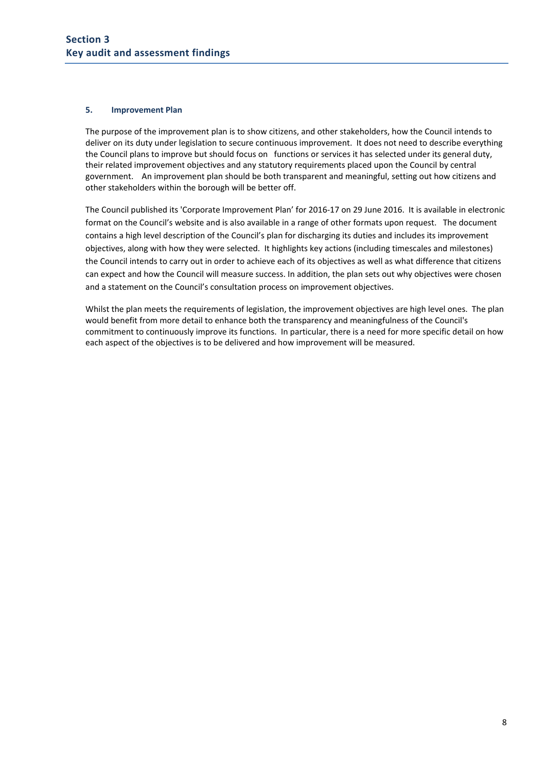#### **5. Improvement Plan**

The purpose of the improvement plan is to show citizens, and other stakeholders, how the Council intends to deliver on its duty under legislation to secure continuous improvement. It does not need to describe everything the Council plans to improve but should focus on functions or services it has selected under its general duty, their related improvement objectives and any statutory requirements placed upon the Council by central government. An improvement plan should be both transparent and meaningful, setting out how citizens and other stakeholders within the borough will be better off.

The Council published its 'Corporate Improvement Plan' for 2016‐17 on 29 June 2016. It is available in electronic format on the Council's website and is also available in a range of other formats upon request. The document contains a high level description of the Council's plan for discharging its duties and includes its improvement objectives, along with how they were selected. It highlights key actions (including timescales and milestones) the Council intends to carry out in order to achieve each of its objectives as well as what difference that citizens can expect and how the Council will measure success. In addition, the plan sets out why objectives were chosen and a statement on the Council's consultation process on improvement objectives.

Whilst the plan meets the requirements of legislation, the improvement objectives are high level ones. The plan would benefit from more detail to enhance both the transparency and meaningfulness of the Council's commitment to continuously improve its functions. In particular, there is a need for more specific detail on how each aspect of the objectives is to be delivered and how improvement will be measured.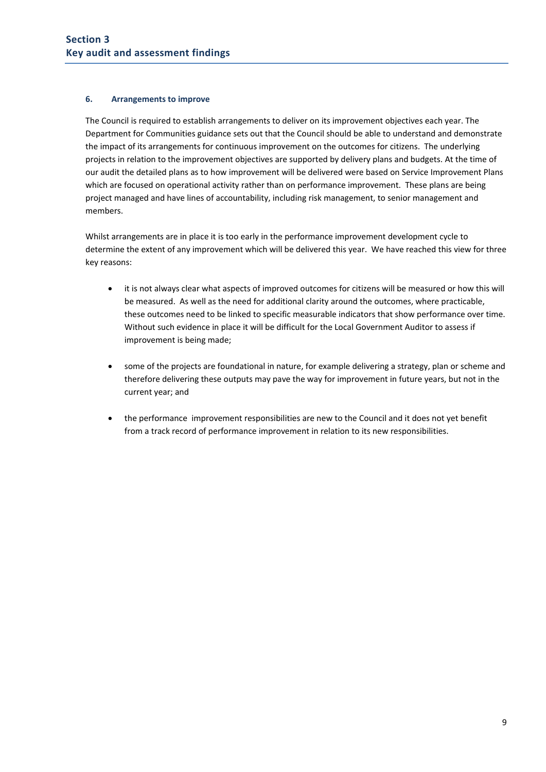#### **6. Arrangements to improve**

The Council is required to establish arrangements to deliver on its improvement objectives each year. The Department for Communities guidance sets out that the Council should be able to understand and demonstrate the impact of its arrangements for continuous improvement on the outcomes for citizens. The underlying projects in relation to the improvement objectives are supported by delivery plans and budgets. At the time of our audit the detailed plans as to how improvement will be delivered were based on Service Improvement Plans which are focused on operational activity rather than on performance improvement. These plans are being project managed and have lines of accountability, including risk management, to senior management and members.

Whilst arrangements are in place it is too early in the performance improvement development cycle to determine the extent of any improvement which will be delivered this year. We have reached this view for three key reasons:

- it is not always clear what aspects of improved outcomes for citizens will be measured or how this will be measured. As well as the need for additional clarity around the outcomes, where practicable, these outcomes need to be linked to specific measurable indicators that show performance over time. Without such evidence in place it will be difficult for the Local Government Auditor to assess if improvement is being made;
- some of the projects are foundational in nature, for example delivering a strategy, plan or scheme and therefore delivering these outputs may pave the way for improvement in future years, but not in the current year; and
- the performance improvement responsibilities are new to the Council and it does not yet benefit from a track record of performance improvement in relation to its new responsibilities.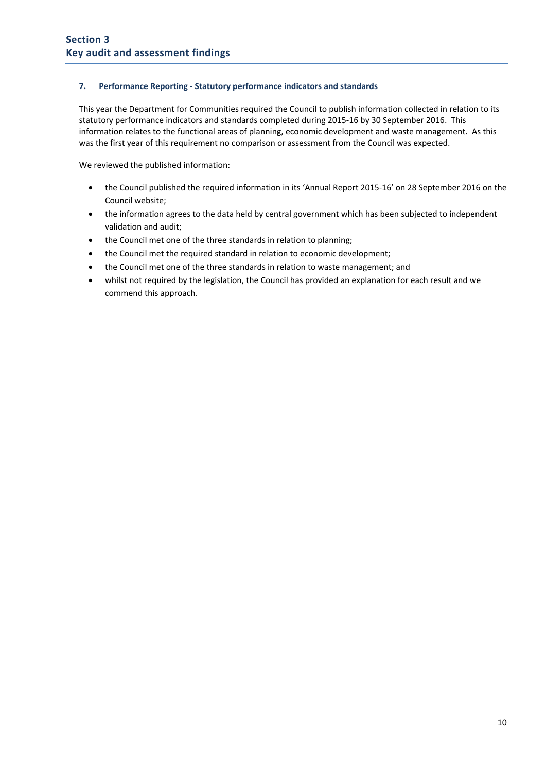#### **7. Performance Reporting ‐ Statutory performance indicators and standards**

This year the Department for Communities required the Council to publish information collected in relation to its statutory performance indicators and standards completed during 2015‐16 by 30 September 2016. This information relates to the functional areas of planning, economic development and waste management. As this was the first year of this requirement no comparison or assessment from the Council was expected.

We reviewed the published information:

- the Council published the required information in its 'Annual Report 2015-16' on 28 September 2016 on the Council website;
- the information agrees to the data held by central government which has been subjected to independent validation and audit;
- the Council met one of the three standards in relation to planning;
- the Council met the required standard in relation to economic development;
- the Council met one of the three standards in relation to waste management; and
- whilst not required by the legislation, the Council has provided an explanation for each result and we commend this approach.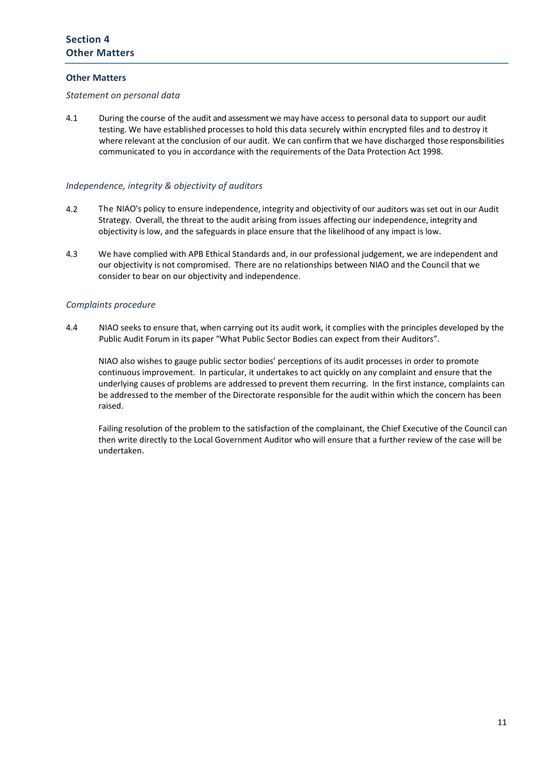#### **Other Matters**

#### *Statement on personal data*

4.1 During the course of the audit and assessment we may have access to personal data to support our audit testing. We have established processes to hold this data securely within encrypted files and to destroy it where relevant at the conclusion of our audit. We can confirm that we have discharged those responsibilities communicated to you in accordance with the requirements of the Data Protection Act 1998.

#### *Independence, integrity & objectivity of auditors*

- 4.2 The NIAO's policy to ensure independence, integrity and objectivity of our auditors was set out in our Audit Strategy. Overall, the threat to the audit arising from issues affecting our independence, integrity and objectivity is low, and the safeguards in place ensure that the likelihood of any impact is low.
- 4.3 We have complied with APB Ethical Standards and, in our professional judgement, we are independent and our objectivity is not compromised. There are no relationships between NIAO and the Council that we consider to bear on our objectivity and independence.

#### *Complaints procedure*

4.4 NIAO seeks to ensure that, when carrying out its audit work, it complies with the principles developed by the Public Audit Forum in its paper "What Public Sector Bodies can expect from their Auditors".

NIAO also wishes to gauge public sector bodies' perceptions of its audit processes in order to promote continuous improvement. In particular, it undertakes to act quickly on any complaint and ensure that the underlying causes of problems are addressed to prevent them recurring. In the first instance, complaints can be addressed to the member of the Directorate responsible for the audit within which the concern has been raised.

Failing resolution of the problem to the satisfaction of the complainant, the Chief Executive of the Council can then write directly to the Local Government Auditor who will ensure that a further review of the case will be undertaken.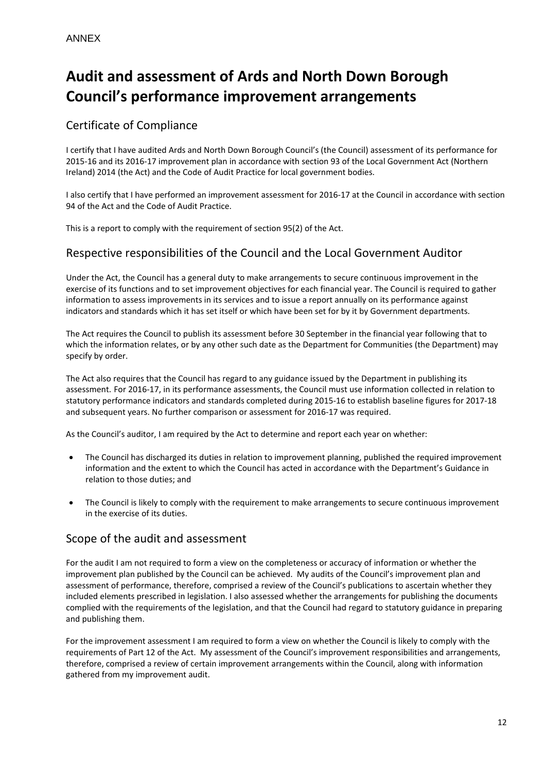# **Audit and assessment of Ards and North Down Borough Council's performance improvement arrangements**

# Certificate of Compliance

I certify that I have audited Ards and North Down Borough Council's (the Council) assessment of its performance for 2015‐16 and its 2016‐17 improvement plan in accordance with section 93 of the Local Government Act (Northern Ireland) 2014 (the Act) and the Code of Audit Practice for local government bodies.

I also certify that I have performed an improvement assessment for 2016‐17 at the Council in accordance with section 94 of the Act and the Code of Audit Practice.

This is a report to comply with the requirement of section 95(2) of the Act.

# Respective responsibilities of the Council and the Local Government Auditor

Under the Act, the Council has a general duty to make arrangements to secure continuous improvement in the exercise of its functions and to set improvement objectives for each financial year. The Council is required to gather information to assess improvements in its services and to issue a report annually on its performance against indicators and standards which it has set itself or which have been set for by it by Government departments.

The Act requires the Council to publish its assessment before 30 September in the financial year following that to which the information relates, or by any other such date as the Department for Communities (the Department) may specify by order.

The Act also requires that the Council has regard to any guidance issued by the Department in publishing its assessment. For 2016‐17, in its performance assessments, the Council must use information collected in relation to statutory performance indicators and standards completed during 2015‐16 to establish baseline figures for 2017‐18 and subsequent years. No further comparison or assessment for 2016‐17 was required.

As the Council's auditor, I am required by the Act to determine and report each year on whether:

- The Council has discharged its duties in relation to improvement planning, published the required improvement information and the extent to which the Council has acted in accordance with the Department's Guidance in relation to those duties; and
- The Council is likely to comply with the requirement to make arrangements to secure continuous improvement in the exercise of its duties.

## Scope of the audit and assessment

For the audit I am not required to form a view on the completeness or accuracy of information or whether the improvement plan published by the Council can be achieved. My audits of the Council's improvement plan and assessment of performance, therefore, comprised a review of the Council's publications to ascertain whether they included elements prescribed in legislation. I also assessed whether the arrangements for publishing the documents complied with the requirements of the legislation, and that the Council had regard to statutory guidance in preparing and publishing them.

For the improvement assessment I am required to form a view on whether the Council is likely to comply with the requirements of Part 12 of the Act. My assessment of the Council's improvement responsibilities and arrangements, therefore, comprised a review of certain improvement arrangements within the Council, along with information gathered from my improvement audit.